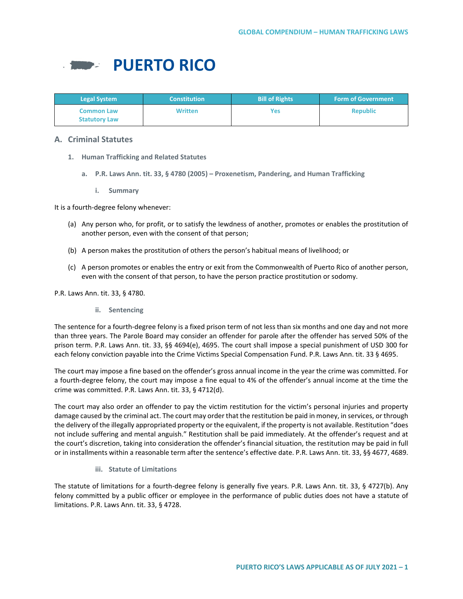

| <b>Legal System</b>                       | <b>Constitution</b> | <b>Bill of Rights</b> | <b>Form of Government</b> |
|-------------------------------------------|---------------------|-----------------------|---------------------------|
| <b>Common Law</b><br><b>Statutory Law</b> | <b>Written</b>      | Yes                   | <b>Republic</b>           |

# **A. Criminal Statutes**

- **1. Human Trafficking and Related Statutes**
	- **a. P.R. Laws Ann. tit. 33, § 4780 (2005) – Proxenetism, Pandering, and Human Trafficking**
		- **i. Summary**

It is a fourth-degree felony whenever:

- (a) Any person who, for profit, or to satisfy the lewdness of another, promotes or enables the prostitution of another person, even with the consent of that person;
- (b) A person makes the prostitution of others the person's habitual means of livelihood; or
- (c) A person promotes or enables the entry or exit from the Commonwealth of Puerto Rico of another person, even with the consent of that person, to have the person practice prostitution or sodomy.

P.R. Laws Ann. tit. 33, § 4780.

**ii. Sentencing**

The sentence for a fourth-degree felony is a fixed prison term of not less than six months and one day and not more than three years. The Parole Board may consider an offender for parole after the offender has served 50% of the prison term. P.R. Laws Ann. tit. 33, §§ 4694(e), 4695. The court shall impose a special punishment of USD 300 for each felony conviction payable into the Crime Victims Special Compensation Fund. P.R. Laws Ann. tit. 33 § 4695.

The court may impose a fine based on the offender's gross annual income in the year the crime was committed. For a fourth-degree felony, the court may impose a fine equal to 4% of the offender's annual income at the time the crime was committed. P.R. Laws Ann. tit. 33, § 4712(d).

The court may also order an offender to pay the victim restitution for the victim's personal injuries and property damage caused by the criminal act. The court may order that the restitution be paid in money, in services, or through the delivery of the illegally appropriated property or the equivalent, if the property is not available. Restitution "does not include suffering and mental anguish." Restitution shall be paid immediately. At the offender's request and at the court's discretion, taking into consideration the offender's financial situation, the restitution may be paid in full or in installments within a reasonable term after the sentence's effective date. P.R. Laws Ann. tit. 33, §§ 4677, 4689.

## **iii. Statute of Limitations**

The statute of limitations for a fourth-degree felony is generally five years. P.R. Laws Ann. tit. 33, § 4727(b). Any felony committed by a public officer or employee in the performance of public duties does not have a statute of limitations. P.R. Laws Ann. tit. 33, § 4728.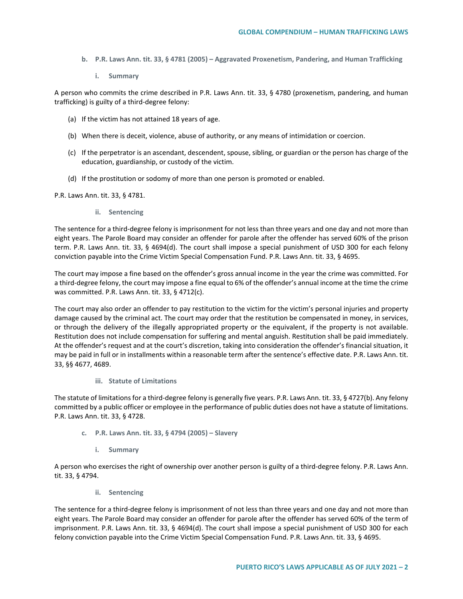- **b. P.R. Laws Ann. tit. 33, § 4781 (2005) – Aggravated Proxenetism, Pandering, and Human Trafficking**
	- **i. Summary**

A person who commits the crime described in P.R. Laws Ann. tit. 33, § 4780 (proxenetism, pandering, and human trafficking) is guilty of a third-degree felony:

- (a) If the victim has not attained 18 years of age.
- (b) When there is deceit, violence, abuse of authority, or any means of intimidation or coercion.
- (c) If the perpetrator is an ascendant, descendent, spouse, sibling, or guardian or the person has charge of the education, guardianship, or custody of the victim.
- (d) If the prostitution or sodomy of more than one person is promoted or enabled.

P.R. Laws Ann. tit. 33, § 4781.

**ii. Sentencing**

The sentence for a third-degree felony is imprisonment for not less than three years and one day and not more than eight years. The Parole Board may consider an offender for parole after the offender has served 60% of the prison term. P.R. Laws Ann. tit. 33, § 4694(d). The court shall impose a special punishment of USD 300 for each felony conviction payable into the Crime Victim Special Compensation Fund. P.R. Laws Ann. tit. 33, § 4695.

The court may impose a fine based on the offender's gross annual income in the year the crime was committed. For a third-degree felony, the court may impose a fine equal to 6% of the offender's annual income at the time the crime was committed. P.R. Laws Ann. tit. 33, § 4712(c).

The court may also order an offender to pay restitution to the victim for the victim's personal injuries and property damage caused by the criminal act. The court may order that the restitution be compensated in money, in services, or through the delivery of the illegally appropriated property or the equivalent, if the property is not available. Restitution does not include compensation for suffering and mental anguish. Restitution shall be paid immediately. At the offender's request and at the court's discretion, taking into consideration the offender's financial situation, it may be paid in full or in installments within a reasonable term after the sentence's effective date. P.R. Laws Ann. tit. 33, §§ 4677, 4689.

#### **iii. Statute of Limitations**

The statute of limitations for a third-degree felony is generally five years. P.R. Laws Ann. tit. 33, § 4727(b). Any felony committed by a public officer or employee in the performance of public duties does not have a statute of limitations. P.R. Laws Ann. tit. 33, § 4728.

- **c. P.R. Laws Ann. tit. 33, § 4794 (2005) – Slavery**
	- **i. Summary**

A person who exercises the right of ownership over another person is guilty of a third-degree felony. P.R. Laws Ann. tit. 33, § 4794.

**ii. Sentencing**

The sentence for a third-degree felony is imprisonment of not less than three years and one day and not more than eight years. The Parole Board may consider an offender for parole after the offender has served 60% of the term of imprisonment. P.R. Laws Ann. tit. 33, § 4694(d). The court shall impose a special punishment of USD 300 for each felony conviction payable into the Crime Victim Special Compensation Fund. P.R. Laws Ann. tit. 33, § 4695.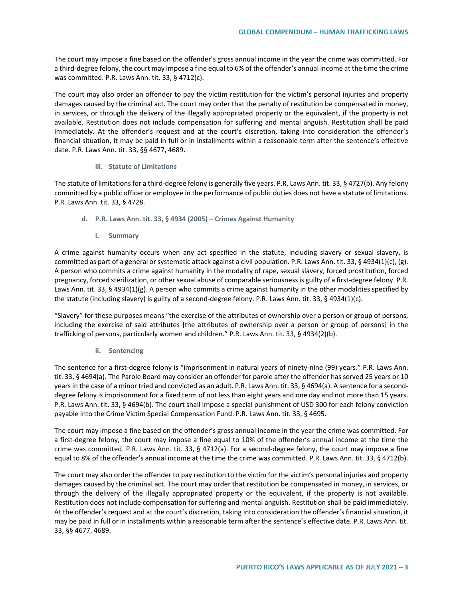The court may impose a fine based on the offender's gross annual income in the year the crime was committed. For a third-degree felony, the court may impose a fine equal to 6% of the offender's annual income at the time the crime was committed. P.R. Laws Ann. tit. 33, § 4712(c).

The court may also order an offender to pay the victim restitution for the victim's personal injuries and property damages caused by the criminal act. The court may order that the penalty of restitution be compensated in money, in services, or through the delivery of the illegally appropriated property or the equivalent, if the property is not available. Restitution does not include compensation for suffering and mental anguish. Restitution shall be paid immediately. At the offender's request and at the court's discretion, taking into consideration the offender's financial situation, it may be paid in full or in installments within a reasonable term after the sentence's effective date. P.R. Laws Ann. tit. 33, §§ 4677, 4689.

## **iii. Statute of Limitations**

The statute of limitations for a third-degree felony is generally five years. P.R. Laws Ann. tit. 33, § 4727(b). Any felony committed by a public officer or employee in the performance of public duties does not have a statute of limitations. P.R. Laws Ann. tit. 33, § 4728.

- **d. P.R. Laws Ann. tit. 33, § 4934 (2005) – Crimes Against Humanity**
	- **i. Summary**

A crime against humanity occurs when any act specified in the statute, including slavery or sexual slavery, is committed as part of a general or systematic attack against a civil population. P.R. Laws Ann. tit. 33, § 4934(1)(c), (g). A person who commits a crime against humanity in the modality of rape, sexual slavery, forced prostitution, forced pregnancy, forced sterilization, or other sexual abuse of comparable seriousness is guilty of a first-degree felony. P.R. Laws Ann. tit. 33, § 4934(1)(g). A person who commits a crime against humanity in the other modalities specified by the statute (including slavery) is guilty of a second-degree felony. P.R. Laws Ann. tit. 33, § 4934(1)(c).

"Slavery" for these purposes means "the exercise of the attributes of ownership over a person or group of persons, including the exercise of said attributes [the attributes of ownership over a person or group of persons] in the trafficking of persons, particularly women and children." P.R. Laws Ann. tit. 33, § 4934(2)(b).

**ii. Sentencing**

The sentence for a first-degree felony is "imprisonment in natural years of ninety-nine (99) years." P.R. Laws Ann. tit. 33, § 4694(a). The Parole Board may consider an offender for parole after the offender has served 25 years or 10 years in the case of a minor tried and convicted as an adult. P.R. Laws Ann. tit. 33, § 4694(a). A sentence for a seconddegree felony is imprisonment for a fixed term of not less than eight years and one day and not more than 15 years. P.R. Laws Ann. tit. 33, § 4694(b). The court shall impose a special punishment of USD 300 for each felony conviction payable into the Crime Victim Special Compensation Fund. P.R. Laws Ann. tit. 33, § 4695.

The court may impose a fine based on the offender's gross annual income in the year the crime was committed. For a first-degree felony, the court may impose a fine equal to 10% of the offender's annual income at the time the crime was committed. P.R. Laws Ann. tit. 33, § 4712(a). For a second-degree felony, the court may impose a fine equal to 8% of the offender's annual income at the time the crime was committed. P.R. Laws Ann. tit. 33, § 4712(b).

The court may also order the offender to pay restitution to the victim for the victim's personal injuries and property damages caused by the criminal act. The court may order that restitution be compensated in money, in services, or through the delivery of the illegally appropriated property or the equivalent, if the property is not available. Restitution does not include compensation for suffering and mental anguish. Restitution shall be paid immediately. At the offender's request and at the court's discretion, taking into consideration the offender's financial situation, it may be paid in full or in installments within a reasonable term after the sentence's effective date. P.R. Laws Ann. tit. 33, §§ 4677, 4689.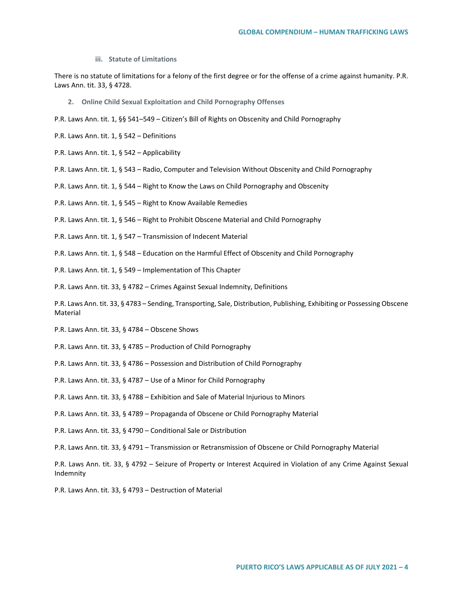**iii. Statute of Limitations**

There is no statute of limitations for a felony of the first degree or for the offense of a crime against humanity. P.R. Laws Ann. tit. 33, § 4728.

**2. Online Child Sexual Exploitation and Child Pornography Offenses**

P.R. Laws Ann. tit. 1, §§ 541–549 – Citizen's Bill of Rights on Obscenity and Child Pornography

- P.R. Laws Ann. tit. 1, § 542 Definitions
- P.R. Laws Ann. tit. 1, § 542 Applicability
- P.R. Laws Ann. tit. 1, § 543 Radio, Computer and Television Without Obscenity and Child Pornography
- P.R. Laws Ann. tit. 1, § 544 Right to Know the Laws on Child Pornography and Obscenity
- P.R. Laws Ann. tit. 1, § 545 Right to Know Available Remedies
- P.R. Laws Ann. tit. 1, § 546 Right to Prohibit Obscene Material and Child Pornography
- P.R. Laws Ann. tit. 1, § 547 Transmission of Indecent Material
- P.R. Laws Ann. tit. 1, § 548 Education on the Harmful Effect of Obscenity and Child Pornography
- P.R. Laws Ann. tit. 1, § 549 Implementation of This Chapter
- P.R. Laws Ann. tit. 33, § 4782 Crimes Against Sexual Indemnity, Definitions

P.R. Laws Ann. tit. 33, § 4783 – Sending, Transporting, Sale, Distribution, Publishing, Exhibiting or Possessing Obscene Material

- P.R. Laws Ann. tit. 33, § 4784 Obscene Shows
- P.R. Laws Ann. tit. 33, § 4785 Production of Child Pornography
- P.R. Laws Ann. tit. 33, § 4786 Possession and Distribution of Child Pornography
- P.R. Laws Ann. tit. 33, § 4787 Use of a Minor for Child Pornography
- P.R. Laws Ann. tit. 33, § 4788 Exhibition and Sale of Material Injurious to Minors
- P.R. Laws Ann. tit. 33, § 4789 Propaganda of Obscene or Child Pornography Material
- P.R. Laws Ann. tit. 33, § 4790 Conditional Sale or Distribution
- P.R. Laws Ann. tit. 33, § 4791 Transmission or Retransmission of Obscene or Child Pornography Material

P.R. Laws Ann. tit. 33, § 4792 – Seizure of Property or Interest Acquired in Violation of any Crime Against Sexual Indemnity

P.R. Laws Ann. tit. 33, § 4793 – Destruction of Material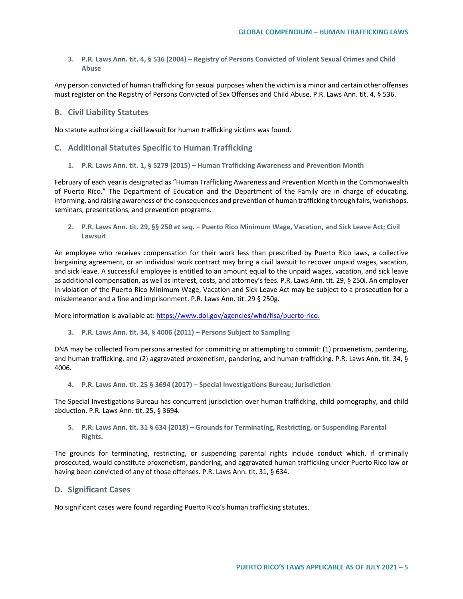**3. P.R. Laws Ann. tit. 4, § 536 (2004) – Registry of Persons Convicted of Violent Sexual Crimes and Child Abuse**

Any person convicted of human trafficking for sexual purposes when the victim is a minor and certain other offenses must register on the Registry of Persons Convicted of Sex Offenses and Child Abuse. P.R. Laws Ann. tit. 4, § 536.

## **B. Civil Liability Statutes**

No statute authorizing a civil lawsuit for human trafficking victims was found.

### **C. Additional Statutes Specific to Human Trafficking**

**1. P.R. Laws Ann. tit. 1, § 5279 (2015) – Human Trafficking Awareness and Prevention Month**

February of each year is designated as "Human Trafficking Awareness and Prevention Month in the Commonwealth of Puerto Rico." The Department of Education and the Department of the Family are in charge of educating, informing, and raising awareness of the consequences and prevention of human trafficking through fairs, workshops, seminars, presentations, and prevention programs.

**2. P.R. Laws Ann. tit. 29, §§ 250** *et seq***. – Puerto Rico Minimum Wage, Vacation, and Sick Leave Act; Civil Lawsuit** 

An employee who receives compensation for their work less than prescribed by Puerto Rico laws, a collective bargaining agreement, or an individual work contract may bring a civil lawsuit to recover unpaid wages, vacation, and sick leave. A successful employee is entitled to an amount equal to the unpaid wages, vacation, and sick leave as additional compensation, as well as interest, costs, and attorney's fees. P.R. Laws Ann. tit. 29, § 250i. An employer in violation of the Puerto Rico Minimum Wage, Vacation and Sick Leave Act may be subject to a prosecution for a misdemeanor and a fine and imprisonment. P.R. Laws Ann. tit. 29 § 250g.

More information is available at: [https://www.dol.gov/agencies/whd/flsa/puerto-rico.](https://www.dol.gov/agencies/whd/flsa/puerto-rico)

**3. P.R. Laws Ann. tit. 34, § 4006 (2011) – Persons Subject to Sampling**

DNA may be collected from persons arrested for committing or attempting to commit: (1) proxenetism, pandering, and human trafficking, and (2) aggravated proxenetism, pandering, and human trafficking. P.R. Laws Ann. tit. 34, § 4006.

**4. P.R. Laws Ann. tit. 25 § 3694 (2017) – Special Investigations Bureau; Jurisdiction**

The Special Investigations Bureau has concurrent jurisdiction over human trafficking, child pornography, and child abduction. P.R. Laws Ann. tit. 25, § 3694.

**5. P.R. Laws Ann. tit. 31 § 634 (2018) – Grounds for Terminating, Restricting, or Suspending Parental Rights.**

The grounds for terminating, restricting, or suspending parental rights include conduct which, if criminally prosecuted, would constitute proxenetism, pandering, and aggravated human trafficking under Puerto Rico law or having been convicted of any of those offenses. P.R. Laws Ann. tit. 31, § 634.

#### **D. Significant Cases**

No significant cases were found regarding Puerto Rico's human trafficking statutes.